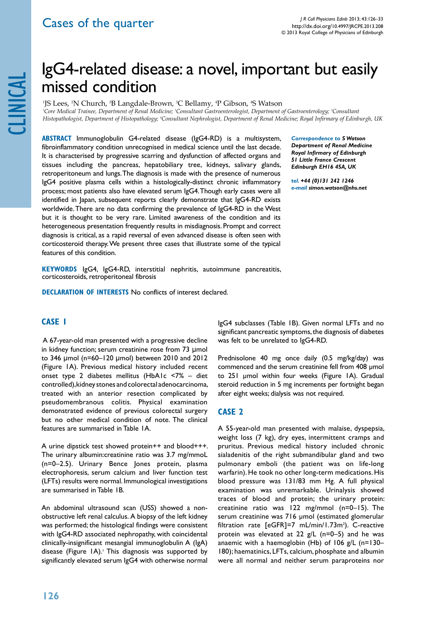# IgG4-related disease: a novel, important but easily missed condition

<sup>1</sup>JS Lees, <sup>2</sup>N Church, <sup>3</sup>B Langdale-Brown, <sup>3</sup>C Bellamy, <sup>4</sup>P Gibson, <sup>4</sup>S Watson <sup>1</sup>Core Medical Trainee, Department of Renal Medicine; <sup>2</sup>Consultant Gastroenterologist, Department of Gastroenterology; <sup>3</sup>Consultant *Histopathologist, Department of Histopathology; 4 Consultant Nephrologist, Department of Renal Medicine; Royal Infirmary of Edinburgh, UK*

**ABSTRACT** Immunoglobulin G4-related disease (IgG4-RD) is a multisystem, fibroinflammatory condition unrecognised in medical science until the last decade. It is characterised by progressive scarring and dysfunction of affected organs and tissues including the pancreas, hepatobiliary tree, kidneys, salivary glands, retroperitoneum and lungs. The diagnosis is made with the presence of numerous IgG4 positive plasma cells within a histologically-distinct chronic inflammatory process; most patients also have elevated serum IgG4. Though early cases were all identified in Japan, subsequent reports clearly demonstrate that IgG4-RD exists worldwide. There are no data confirming the prevalence of IgG4-RD in the West but it is thought to be very rare. Limited awareness of the condition and its heterogeneous presentation frequently results in misdiagnosis. Prompt and correct diagnosis is critical, as a rapid reversal of even advanced disease is often seen with corticosteroid therapy. We present three cases that illustrate some of the typical features of this condition.

*Correspondence to S Watson Department of Renal Medicine Royal Infirmary of Edinburgh 51 Little France Crescent Edinburgh EH16 4SA, UK*

*tel. +44 (0)131 242 1246 e-mail simon.watson@nhs.net*

**Keywords** IgG4, IgG4-RD, interstitial nephritis, autoimmune pancreatitis, corticosteroids, retroperitoneal fibrosis

**DECLARATION OF INTERESTS No conflicts of interest declared.** 

# **Case 1**

 A 67-year-old man presented with a progressive decline in kidney function; serum creatinine rose from 73 µmol to 346 µmol (n=60–120 µmol) between 2010 and 2012 (Figure 1A). Previous medical history included recent onset type 2 diabetes mellitus (HbA1c <7% – diet controlled), kidney stones and colorectal adenocarcinoma, treated with an anterior resection complicated by pseudomembranous colitis. Physical examination demonstrated evidence of previous colorectal surgery but no other medical condition of note. The clinical features are summarised in Table 1A.

A urine dipstick test showed protein++ and blood+++. The urinary albumin:creatinine ratio was 3.7 mg/mmoL (n=0–2.5). Urinary Bence Jones protein, plasma electrophoresis, serum calcium and liver function test (LFTs) results were normal. Immunological investigations are summarised in Table 1B.

An abdominal ultrasound scan (USS) showed a nonobstructive left renal calculus. A biopsy of the left kidney was performed; the histological findings were consistent with IgG4-RD associated nephropathy, with coincidental clinically-insignificant mesangial immunoglobulin A (IgA) disease (Figure IA).<sup>1</sup> This diagnosis was supported by significantly elevated serum IgG4 with otherwise normal

IgG4 subclasses (Table 1B). Given normal LFTs and no significant pancreatic symptoms, the diagnosis of diabetes was felt to be unrelated to IgG4-RD.

Prednisolone 40 mg once daily (0.5 mg/kg/day) was commenced and the serum creatinine fell from 408 µmol to 251 µmol within four weeks (Figure 1A). Gradual steroid reduction in 5 mg increments per fortnight began after eight weeks; dialysis was not required.

## **Case 2**

A 55-year-old man presented with malaise, dyspepsia, weight loss (7 kg), dry eyes, intermittent cramps and pruritus. Previous medical history included chronic sialadenitis of the right submandibular gland and two pulmonary emboli (the patient was on life-long warfarin). He took no other long-term medications. His blood pressure was 131/83 mm Hg. A full physical examination was unremarkable. Urinalysis showed traces of blood and protein; the urinary protein: creatinine ratio was 122 mg/mmol (n=0–15). The serum creatinine was 716 µmol (estimated glomerular filtration rate [eGFR]=7 mL/min/1.73m<sup>2</sup>). C-reactive protein was elevated at 22  $g/L$  (n=0–5) and he was anaemic with a haemoglobin (Hb) of 106 g/L (n=130– 180); haematinics, LFTs, calcium, phosphate and albumin were all normal and neither serum paraproteins nor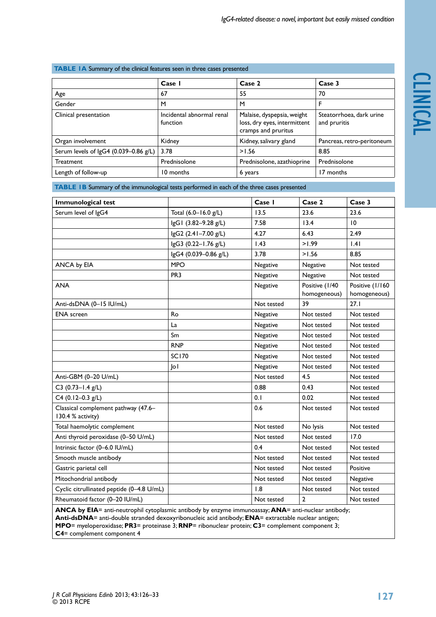# **TABLE 1A** Summary of the clinical features seen in three cases presented

|                                       | Case 1                                | Case 2                                                                            | Case 3                                   |
|---------------------------------------|---------------------------------------|-----------------------------------------------------------------------------------|------------------------------------------|
| Age                                   | 67                                    | 55                                                                                | 70                                       |
| Gender                                | M                                     | M                                                                                 | F                                        |
| Clinical presentation                 | Incidental abnormal renal<br>function | Malaise, dyspepsia, weight<br>loss, dry eyes, intermittent<br>cramps and pruritus | Steatorrhoea, dark urine<br>and pruritis |
| Organ involvement                     | Kidney                                | Kidney, salivary gland                                                            | Pancreas, retro-peritoneum               |
| Serum levels of IgG4 (0.039-0.86 g/L) | 3.78                                  | >1.56                                                                             | 8.85                                     |
| <b>Treatment</b>                      | Prednisolone                          | Prednisolone, azathioprine                                                        | Prednisolone                             |
| Length of follow-up                   | 10 months                             | 6 years                                                                           | 17 months                                |

**TABLE 1B** Summary of the immunological tests performed in each of the three cases presented

| Immunological test                                                                                                                                                                                          |                       | Case I     | Case 2                         | Case 3                          |  |
|-------------------------------------------------------------------------------------------------------------------------------------------------------------------------------------------------------------|-----------------------|------------|--------------------------------|---------------------------------|--|
| Serum level of IgG4                                                                                                                                                                                         | Total (6.0-16.0 g/L)  | 13.5       | 23.6                           | 23.6                            |  |
|                                                                                                                                                                                                             | IgG1 (3.82-9.28 g/L)  | 7.58       | 13.4                           | 10                              |  |
|                                                                                                                                                                                                             | lgG2 (2.41-7.00 g/L)  | 4.27       | 6.43                           | 2.49                            |  |
|                                                                                                                                                                                                             | lgG3 (0.22-1.76 g/L)  | 1.43       | >1.99                          | .4                              |  |
|                                                                                                                                                                                                             | lgG4 (0.039-0.86 g/L) | 3.78       | >1.56                          | 8.85                            |  |
| ANCA by EIA                                                                                                                                                                                                 | <b>MPO</b>            | Negative   | Negative                       | Not tested                      |  |
|                                                                                                                                                                                                             | PR <sub>3</sub>       | Negative   | Negative                       | Not tested                      |  |
| <b>ANA</b>                                                                                                                                                                                                  |                       | Negative   | Positive (1/40<br>homogeneous) | Positive (1/160<br>homogeneous) |  |
| Anti-dsDNA (0-15 IU/mL)                                                                                                                                                                                     |                       | Not tested | 39                             | 27.1                            |  |
| <b>ENA</b> screen                                                                                                                                                                                           | Ro                    | Negative   | Not tested                     | Not tested                      |  |
|                                                                                                                                                                                                             | La                    | Negative   | Not tested                     | Not tested                      |  |
|                                                                                                                                                                                                             | Sm                    | Negative   | Not tested                     | Not tested                      |  |
|                                                                                                                                                                                                             | <b>RNP</b>            | Negative   | Not tested                     | Not tested                      |  |
|                                                                                                                                                                                                             | <b>SC170</b>          | Negative   | Not tested                     | Not tested                      |  |
|                                                                                                                                                                                                             | o                     | Negative   | Not tested                     | Not tested                      |  |
| Anti-GBM (0-20 U/mL)                                                                                                                                                                                        |                       | Not tested | 4.5                            | Not tested                      |  |
| $C3$ (0.73-1.4 g/L)                                                                                                                                                                                         |                       | 0.88       | 0.43                           | Not tested                      |  |
| $C4$ (0.12-0.3 g/L)                                                                                                                                                                                         |                       | 0.1        | 0.02                           | Not tested                      |  |
| Classical complement pathway (47.6-<br>130.4 % activity)                                                                                                                                                    |                       | 0.6        | Not tested                     | Not tested                      |  |
| Total haemolytic complement                                                                                                                                                                                 |                       | Not tested | No lysis                       | Not tested                      |  |
| Anti thyroid peroxidase (0-50 U/mL)                                                                                                                                                                         |                       | Not tested | Not tested                     | 17.0                            |  |
| Intrinsic factor (0-6.0 IU/mL)                                                                                                                                                                              |                       | 0.4        | Not tested                     | Not tested                      |  |
| Smooth muscle antibody                                                                                                                                                                                      |                       | Not tested | Not tested                     | Not tested                      |  |
| Gastric parietal cell                                                                                                                                                                                       |                       | Not tested | Not tested                     | Positive                        |  |
| Mitochondrial antibody                                                                                                                                                                                      |                       | Not tested | Not tested                     | Negative                        |  |
| Cyclic citrullinated peptide (0-4.8 U/mL)                                                                                                                                                                   |                       | 1.8        | Not tested                     | Not tested                      |  |
| Rheumatoid factor (0-20 IU/mL)                                                                                                                                                                              |                       | Not tested | $\overline{2}$                 | Not tested                      |  |
| ANCA by EIA= anti-neutrophil cytoplasmic antibody by enzyme immunoassay; ANA= anti-nuclear antibody;<br>Anti-dsDNA= anti-double stranded dexoxyribonucleic acid antibody; ENA= extractable nuclear antigen; |                       |            |                                |                                 |  |

**MPO**= myeloperoxidase; **PR3**= proteinase 3; **RNP**= ribonuclear protein; **C3**= complement component 3; **C4**= complement component 4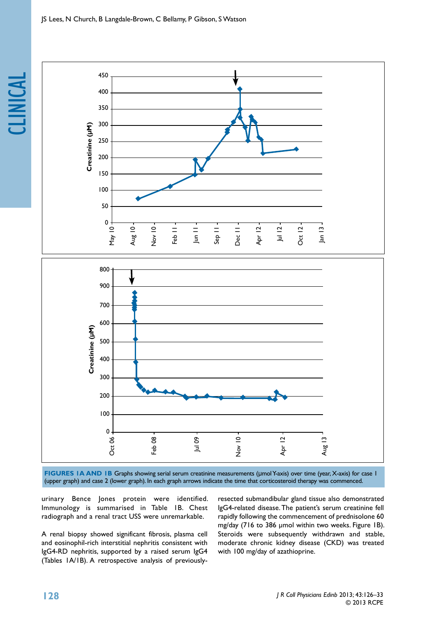clinical



**FIGURES 1A AND 1B** Graphs showing serial serum creatinine measurements (µmol Y-axis) over time (year, X-axis) for case 1 (upper graph) and case 2 (lower graph). In each graph arrows indicate the time that corticosteroid therapy was commenced.

urinary Bence Jones protein were identified. Immunology is summarised in Table 1B. Chest radiograph and a renal tract USS were unremarkable.

A renal biopsy showed significant fibrosis, plasma cell and eosinophil-rich interstitial nephritis consistent with IgG4-RD nephritis, supported by a raised serum IgG4 (Tables 1A/1B). A retrospective analysis of previouslyresected submandibular gland tissue also demonstrated IgG4-related disease. The patient's serum creatinine fell rapidly following the commencement of prednisolone 60 mg/day (716 to 386 µmol within two weeks. Figure 1B). Steroids were subsequently withdrawn and stable, moderate chronic kidney disease (CKD) was treated with 100 mg/day of azathioprine.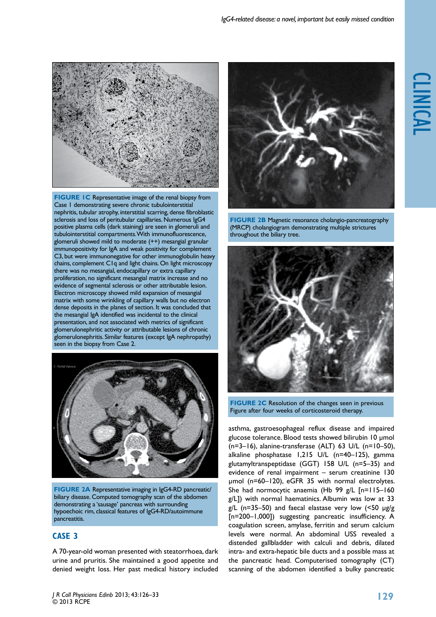

**FIGURE IC** Representative image of the renal biopsy from Case 1 demonstrating severe chronic tubulointerstitial nephritis, tubular atrophy, interstitial scarring, dense fibroblastic sclerosis and loss of peritubular capillaries. Numerous IgG4 positive plasma cells (dark staining) are seen in glomeruli and tubulointerstitial compartments. With immunofluorescence, glomeruli showed mild to moderate (++) mesangial granular immunopositivity for IgA and weak positivity for complement C3, but were immunonegative for other immunoglobulin heavy chains, complement C1q and light chains. On light microscopy there was no mesangial, endocapillary or extra capillary proliferation, no significant mesangial matrix increase and no evidence of segmental sclerosis or other attributable lesion. Electron microscopy showed mild expansion of mesangial matrix with some wrinkling of capillary walls but no electron dense deposits in the planes of section. It was concluded that the mesangial IgA identified was incidental to the clinical presentation, and not associated with metrics of significant glomerulonephritic activity or attributable lesions of chronic glomerulonephritis. Similar features (except IgA nephropathy) seen in the biopsy from Case 2.



**figure 2a** Representative imaging in IgG4-RD pancreatic/ biliary disease. Computed tomography scan of the abdomen demonstrating a 'sausage' pancreas with surrounding hypoechoic rim, classical features of IgG4-RD/autoimmune pancreatitis.

# **Case 3**

A 70-year-old woman presented with steatorrhoea, dark urine and pruritis. She maintained a good appetite and denied weight loss. Her past medical history included



**FIGURE 2B** Magnetic resonance cholangio-pancreatography (MRCP) cholangiogram demonstrating multiple strictures throughout the biliary tree.



**FIGURE 2C** Resolution of the changes seen in previous Figure after four weeks of corticosteroid therapy.

asthma, gastroesophageal reflux disease and impaired glucose tolerance. Blood tests showed bilirubin 10 µmol  $(n=3-16)$ , alanine-transferase  $(ALT)$  63 U/L  $(n=10-50)$ , alkaline phosphatase 1,215 U/L (n=40–125), gamma glutamyltranspeptidase (GGT) 158 U/L (n=5–35) and evidence of renal impairment – serum creatinine 130 µmol (n=60–120), eGFR 35 with normal electrolytes. She had normocytic anaemia (Hb 99 g/L [n=115–160 g/L]) with normal haematinics. Albumin was low at 33  $g/L$  (n=35–50) and faecal elastase very low (<50  $\mu$ g/g [n=200–1,000]) suggesting pancreatic insufficiency. A coagulation screen, amylase, ferritin and serum calcium levels were normal. An abdominal USS revealed a distended gallbladder with calculi and debris, dilated intra- and extra-hepatic bile ducts and a possible mass at the pancreatic head. Computerised tomography (CT) scanning of the abdomen identified a bulky pancreatic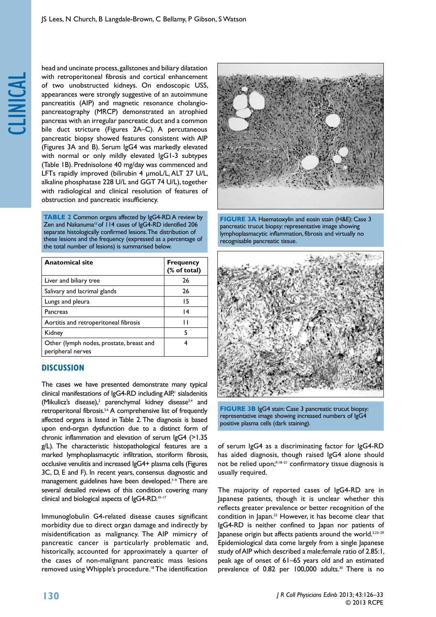head and uncinate process, gallstones and biliary dilatation with retroperitoneal fibrosis and cortical enhancement of two unobstructed kidneys. On endoscopic USS, appearances were strongly suggestive of an autoimmune pancreatitis (AIP) and magnetic resonance cholangiopancreatography (MRCP) demonstrated an atrophied pancreas with an irregular pancreatic duct and a common bile duct stricture (Figures 2A–C). A percutaneous pancreatic biopsy showed features consistent with AIP (Figures 3A and B). Serum IgG4 was markedly elevated with normal or only mildly elevated IgG1-3 subtypes (Table 1B). Prednisolone 40 mg/day was commenced and LFTs rapidly improved (bilirubin 4 µmoL/L, ALT 27 U/L, alkaline phosphatase 228 U/L and GGT 74 U/L), together with radiological and clinical resolution of features of obstruction and pancreatic insufficiency.

**TABLE 2** Common organs affected by IgG4-RD. A review by Zen and Nakanuma<sup>15</sup> of 114 cases of IgG4-RD identified 206 separate histologically confirmed lesions. The distribution of these lesions and the frequency (expressed as a percentage of the total number of lesions) is summarised below.

| <b>Anatomical site</b>                                        | <b>Frequency</b><br>(% of total) |  |
|---------------------------------------------------------------|----------------------------------|--|
| Liver and biliary tree                                        | 26                               |  |
| Salivary and lacrimal glands                                  | 26                               |  |
| Lungs and pleura                                              | 15                               |  |
| Pancreas                                                      | $\overline{14}$                  |  |
| Aortitis and retroperitoneal fibrosis                         | ''                               |  |
| Kidney                                                        | 5                                |  |
| Other (lymph nodes, prostate, breast and<br>peripheral nerves | 4                                |  |

## **Discussion**

The cases we have presented demonstrate many typical clinical manifestations of IgG4-RD including AIP,<sup>1</sup> sialadenitis (Mikulicz's disease),<sup>2</sup> parenchymal kidney disease<sup>3,4</sup> and retroperitonal fibrosis.<sup>5,6</sup> A comprehensive list of frequently affected organs is listed in Table 2. The diagnosis is based upon end-organ dysfunction due to a distinct form of chronic inflammation and elevation of serum IgG4 (>1.35 g/L). The characteristic histopathological features are a marked lymphoplasmacytic infiltration, storiform fibrosis, occlusive venulitis and increased IgG4+ plasma cells (Figures 3C, D, E and F). In recent years, consensus diagnostic and management guidelines have been developed.<sup>7-9</sup> There are several detailed reviews of this condition covering many clinical and biological aspects of IgG4-RD.<sup>10-17</sup>

Immunoglobulin G4-related disease causes significant morbidity due to direct organ damage and indirectly by misidentification as malignancy. The AIP mimicry of pancreatic cancer is particularly problematic and, historically, accounted for approximately a quarter of the cases of non-malignant pancreatic mass lesions removed using Whipple's procedure.18 The identification



**figure 3a** Haematoxylin and eosin stain (H&E): Case 3 pancreatic trucut biopsy: representative image showing lymphoplasmacytic inflammation, fibrosis and virtually no recognisable pancreatic tissue.



**FIGURE 3B IgG4 stain: Case 3 pancreatic trucut biopsy:** representative image showing increased numbers of IgG4 positive plasma cells (dark staining).

of serum IgG4 as a discriminating factor for IgG4-RD has aided diagnosis, though raised IgG4 alone should not be relied upon;<sup>9,18-21</sup> confirmatory tissue diagnosis is usually required.

The majority of reported cases of IgG4-RD are in Japanese patients, though it is unclear whether this reflects greater prevalence or better recognition of the condition in Japan.<sup>22</sup> However, it has become clear that IgG4-RD is neither confined to Japan nor patients of Japanese origin but affects patients around the world.<sup>3,23-29</sup> Epidemiological data come largely from a single Japanese study of AIP which described a male:female ratio of 2.85:1, peak age of onset of 61–65 years old and an estimated prevalence of 0.82 per 100,000 adults.<sup>30</sup> There is no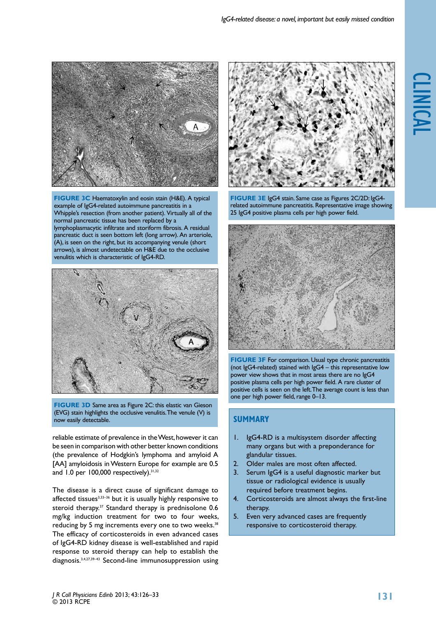

**figure 3c** Haematoxylin and eosin stain (H&E). A typical example of IgG4-related autoimmune pancreatitis in a Whipple's resection (from another patient). Virtually all of the normal pancreatic tissue has been replaced by a lymphoplasmacytic infiltrate and storiform fibrosis. A residual pancreatic duct is seen bottom left (long arrow). An arteriole, (A), is seen on the right, but its accompanying venule (short arrows), is almost undetectable on H&E due to the occlusive venulitis which is characteristic of IgG4-RD.



**FIGURE 3D** Same area as Figure 2C: this elastic van Gieson (EVG) stain highlights the occlusive venulitis. The venule (V) is now easily detectable.

reliable estimate of prevalence in the West, however it can be seen in comparison with other better known conditions (the prevalence of Hodgkin's lymphoma and amyloid A [AA] amyloidosis in Western Europe for example are 0.5 and 1.0 per 100,000 respectively).<sup>31,32</sup>

The disease is a direct cause of significant damage to affected tissues<sup>3,33-36</sup> but it is usually highly responsive to steroid therapy.<sup>37</sup> Standard therapy is prednisolone 0.6 mg/kg induction treatment for two to four weeks, reducing by 5 mg increments every one to two weeks.<sup>38</sup> The efficacy of corticosteroids in even advanced cases of IgG4-RD kidney disease is well-established and rapid response to steroid therapy can help to establish the diagnosis.3,4,27,39–43 Second-line immunosuppression using



**figure 3e** IgG4 stain. Same case as Figures 2C/2D: IgG4 related autoimmune pancreatitis. Representative image showing 25 IgG4 positive plasma cells per high power field.



**FIGURE 3F** For comparison. Usual type chronic pancreatitis (not IgG4-related) stained with IgG4 – this representative low power view shows that in most areas there are no IgG4 positive plasma cells per high power field. A rare cluster of positive cells is seen on the left. The average count is less than one per high power field, range 0–13.

# **Summary**

- 1. IgG4-RD is a multisystem disorder affecting many organs but with a preponderance for glandular tissues.
- 2. Older males are most often affected.
- 3. Serum IgG4 is a useful diagnostic marker but tissue or radiological evidence is usually required before treatment begins.
- 4. Corticosteroids are almost always the first-line therapy.
- 5. Even very advanced cases are frequently responsive to corticosteroid therapy.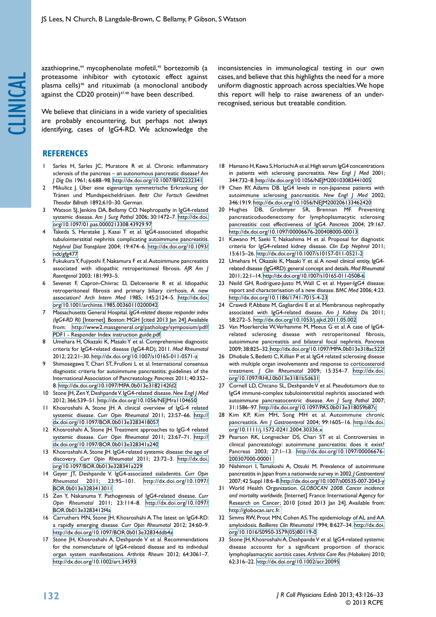azathioprine,<sup>44</sup> mycophenolate mofetil,<sup>45</sup> bortezomib (a proteasome inhibitor with cytotoxic effect against plasma cells)<sup>46</sup> and rituximab (a monoclonal antibody against the CD20 protein)<sup>47,48</sup> have been described.

We believe that clinicians in a wide variety of specialities are probably encountering, but perhaps not always identifying, cases of IgG4-RD. We acknowledge the

## **References**

- Sarles H, Sarles JC, Muratore R et al. Chronic inflammatory sclerosis of the pancreas – an autonomous pancreatic disease? *Am J Dig Dis* 1961; 6:688–98. <http://dx.doi.org/10.1007/BF02232341>
- 2 Mikulicz J. Über eine eigenartige symmetrische Erkrankung der Tränen und Mundspeicheldrüsen. *Beitr Chir Fortsch Gewidmet Theodor Billroth* 1892;610–30. German.
- 3 Watson SJ, Jenkins DA, Bellamy CO. Nephropathy in IgG4-related systemic disease. *Am J Surg Pathol* 2006; 30:1472–7. [http://dx.doi.](http://dx.doi.org/10.1097/01.pas.0000213308.43929.97) [org/10.1097/01.pas.0000213308.43929.97](http://dx.doi.org/10.1097/01.pas.0000213308.43929.97)
- Takeda S, Haratake J, Kasai T et al. IgG4-associated idiopathic tubulointerstitial nephritis complicating autoimmune pancreatitis. *Nephrol Dial Transplant* 2004; 19:474–6. [http://dx.doi.org/10.1093/](http://dx.doi.org/10.1093/ndt/gfg477) [ndt/gfg477](http://dx.doi.org/10.1093/ndt/gfg477)
- 5 Fukukura Y, Fujiyoshi F, Nakamura F et al. Autoimmune pancreatitis associated with idiopathic retroperitoneal fibrosis. *AJR Am J Roentgenol* 2003; 181:993–5.
- Sevenet F, Capron-Chivrac D, Delcenserie R et al. Idiopathic retroperitoneal fibrosis and primary biliary cirrhosis. A new association? *Arch Intern Med* 1985; 145:2124–5. [http://dx.doi.](http://dx.doi.org/10.1001/archinte.1985.00360110200042) [org/10.1001/archinte.1985.00360110200042](http://dx.doi.org/10.1001/archinte.1985.00360110200042)
- 7 Massachusetts General Hospital. *IgG4-related disease responder index (IgG4-RD RI)* [Internet]. Boston: MGH [cited 2013 Jan 24]. Available from: [http://www2.massgeneral.org/pathology/symposium/pdf/](http://www2.massgeneral.org/pathology/symposium/pdf/PDF1 - Responder Index instruction guide.pdf.) [PDF1 - Responder Index instruction guide.pdf.](http://www2.massgeneral.org/pathology/symposium/pdf/PDF1 - Responder Index instruction guide.pdf.)
- 8 Umehara H, Okazaki K, Masaki Y et al. Comprehensive diagnostic criteria for IgG4-related disease (IgG4-RD), 2011. *Mod Rheumatol*  2012; 22:21–30. <http://dx.doi.org/10.1007/s10165-011-0571-z>
- Shimosegawa T, Chari ST, Frulloni L et al. International consensus diagnostic criteria for autoimmune pancreatitis: guidelines of the International Association of Pancreatology. *Pancreas* 2011; 40:352– 8. <http://dx.doi.org/10.1097/MPA.0b013e3182142fd2>
- 10 Stone JH, Zen Y, Deshpande V. IgG4-related disease. *New Engl J Med*  2012; 366:539–51. <http://dx.doi.org/10.1056/NEJMra1104650>
- 11 Khosroshahi A, Stone JH. A clinical overview of IgG-4 related systemic disease. *Curr Opin Rheumatol* 2011; 23:57–66. [http://](http://dx.doi.org/10.1097/BOR.0b013e3283418057) [dx.doi.org/10.1097/BOR.0b013e3283418057](http://dx.doi.org/10.1097/BOR.0b013e3283418057)
- 12 Khosroshahi A, Stone JH. Treatment approaches to IgG-4 related systemic disease. *Curr Opin Rheumatol* 2011; 23:67–71. [http://](http://dx.doi.org/10.1097/BOR.0b013e328341a240) [dx.doi.org/10.1097/BOR.0b013e328341a240](http://dx.doi.org/10.1097/BOR.0b013e328341a240)
- 13 Khosroshahi A, Stone JH. IgG4-related systemic disease: the age of discovery. *Curr Opin Rheumatol* 2011; 23:72–3. [http://dx.doi.](http://dx.doi.org/10.1097/BOR.0b013e328341a229) [org/10.1097/BOR.0b013e328341a229](http://dx.doi.org/10.1097/BOR.0b013e328341a229)
- 14 Geyer JT, Deshpande V. IgG4-associated sialadenitis. *Curr Opin Rheumatol* 2011; 23:95–101. [http://dx.doi.org/10.1097/](http://dx.doi.org/10.1097/BOR.0b013e3283413011) [BOR.0b013e3283413011](http://dx.doi.org/10.1097/BOR.0b013e3283413011)
- 15 Zen Y, Nakanuma Y. Pathogenesis of IgG4-related disease. *Curr Opin Rheumatol* 2011; 23:114–8. [http://dx.doi.org/10.1097/](http://dx.doi.org/10.1097/BOR.0b013e3283412f4a) [BOR.0b013e3283412f4a](http://dx.doi.org/10.1097/BOR.0b013e3283412f4a)
- 16 Carruthers MN, Stone JH, Khosroshahi A. The latest on IgG4-RD: a rapidly emerging disease. *Curr Opin Rheumatol* 2012; 24:60–9. <http://dx.doi.org/10.1097/BOR.0b013e32834ddb4a>
- 17 Stone JH, Khosroshahi A, Deshpande V et al. Recommendations for the nomenclature of IgG4-related disease and its individual organ system manifestations. *Arthritis Rheum* 2012; 64:3061–7. <http://dx.doi.org/10.1002/art.34593>

inconsistencies in immunological testing in our own cases, and believe that this highlights the need for a more uniform diagnostic approach across specialties. We hope this report will help to raise awareness of an underrecognised, serious but treatable condition.

- 18 Hamano H, Kawa S, Horiuchi A et al. High serum IgG4 concentrations in patients with sclerosing pancreatitis. *New Engl J Med* 2001; 344:732–8. <http://dx.doi.org/10.1056/NEJM200103083441005>
- 19 Chen RY, Adams DB. IgG4 levels in non-Japanese patients with autoimmune sclerosing pancreatitis. *New Engl J Med* 2002; 346:1919. <http://dx.doi.org/10.1056/NEJM200206133462420>
- 20 Hughes DB, Grobmyer SR, Brennan MF. Preventing pancreaticoduodenectomy for lymphoplasmacytic sclerosing pancreatitis: cost effectiveness of IgG4. *Pancreas* 2004; 29:167. <http://dx.doi.org/10.1097/00006676-200408000-00013>
- 21 Kawano M, Saeki T, Nakashima H et al. Proposal for diagnostic criteria for IgG4-related kidney disease. *Clin Exp Nephrol* 2011; 15:615–26. <http://dx.doi.org/10.1007/s10157-011-0521-2>
- 22 Umehara H, Okazaki K, Masaki Y et al. A novel clinical entity, IgG4 related disease (IgG4RD): general concept and details. *Mod Rheumatol* 2011; 22:1–14.<http://dx.doi.org/10.1007/s10165-011-0508-6>
- 23 Neild GH, Rodriguez-Justo M, Wall C et al. Hyper-IgG4 disease: report and characterisation of a new disease. *BMC Med* 2006; 4:23. <http://dx.doi.org/10.1186/1741-7015-4-23>
- 24 Cravedi P, Abbate M, Gagliardini E et al. Membranous nephropathy associated with IgG4-related disease. *Am J Kidney Dis* 2011; 58:272–5. <http://dx.doi.org/10.1053/j.ajkd.2011.05.002>
- 25 Van Moerkercke W, Verhamme M, Meeus G et al. A case of IgG4 related sclerosing disease with retroperitoneal fibrosis, autoimmune pancreatitis and bilateral focal nephritis. *Pancreas* 2009; 38:825–32. <http://dx.doi.org/10.1097/MPA.0b013e318ac522f>
- 26 Dhobale S, Bedetti C, Killian P et al. IgG4 related sclerosing disease with multiple organ involvements and response to corticosteroid treatment. *J Clin Rheumatol* 2009; 15:354–7. [http://dx.doi.](http://dx.doi.org/10.1097/RHU.0b013e3181b5d631) [org/10.1097/RHU.0b013e3181b5d631](http://dx.doi.org/10.1097/RHU.0b013e3181b5d631)
- 27 Cornell LD, Chicano SL, Deshpande V et al. Pseudotumors due to IgG4 immune-complex tubulointerstitial nephritis associated with autoimmune pancreatocentric disease. *Am J Surg Pathol* 2007; 31:1586–97. <http://dx.doi.org/10.1097/PAS.0b013e318059b87c>
- 28 Kim KP, Kim MH, Song MH et al. Autoimmune chronic pancreatitis. *Am J Gastroenterol* 2004; 99:1605–16. [http://dx.doi.](http://dx.doi.org/10.1111/j.1572-0241.2004.30336.x) [org/10.1111/j.1572-0241.2004.30336.x](http://dx.doi.org/10.1111/j.1572-0241.2004.30336.x)
- 29 Pearson RK, Longnecker DS, Chari ST et al. Controversies in clinical pancreatology: autoimmune pancreatitis: does it exist? Pancreas 2003; 27:1–13. [http://dx.doi.org/10.1097/00006676-](http://dx.doi.org/10.1097/00006676-200307000-00001 ) [200307000-00001](http://dx.doi.org/10.1097/00006676-200307000-00001 )
- 30 Nishimori I, Tamakoshi A, Otsuki M. Prevalence of autoimmune pancreatitis in Japan from a nationwide survey in 2002. *J Gastroenterol*  2007; 42 Suppl 18:6–8.<http://dx.doi.org/10.1007/s00535-007-2043-y>
- 31 World Health Organization. *GLOBOCAN 2008. Cancer incidence and mortality worldwide*. [Internet] France: International Agency for Research on Cancer; 2010 [cited 2013 Jan 24]. Available from: [http://globocan.iarc.fr.](http://globocan.iarc.fr.
)
- 32 Simms RW, Prout MN, Cohen AS. The epidemiology of AL and AA amyloidosis. *Baillieres Clin Rheumatol* 1994; 8:627–34. [http://dx.doi.](http://dx.doi.org/10.1016/S0950-3579(05)80119-0) [org/10.1016/S0950-3579\(05\)80119-0](http://dx.doi.org/10.1016/S0950-3579(05)80119-0)
- 33 Stone JH, Khosroshahi A, Deshpande V et al. IgG4-related systemic disease accounts for a significant proportion of thoracic lymphoplasmacytic aortitis cases. *Arthritis Care Res (Hoboken)* 2010; 62:316–22. <http://dx.doi.org/10.1002/acr.20095>